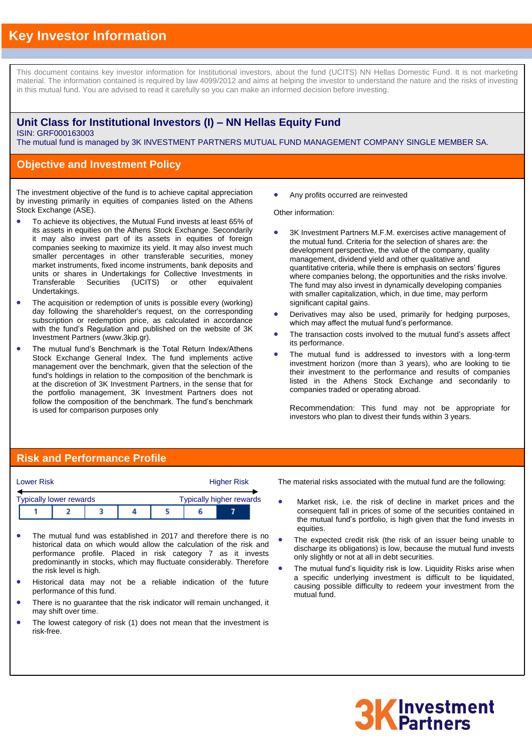# **Key Investor Information**

This document contains key investor information for Institutional investors, about the fund (UCITS) NN Hellas Domestic Fund. It is not marketing material. The information contained is required by law 4099/2012 and aims at helping the investor to understand the nature and the risks of investing in this mutual fund. You are advised to read it carefully so you can make an informed decision before investing.

### **Unit Class for Institutional Investors (I) – NN Hellas Equity Fund** ISIN: GRF000163003

The mutual fund is managed by 3K INVESTMENT PARTNERS MUTUAL FUND MANAGEMENT COMPANY SINGLE MEMBER SA.

### **Objective and Investment Policy**

The investment objective of the fund is to achieve capital appreciation by investing primarily in equities of companies listed on the Athens Stock Exchange (ASE).

- To achieve its objectives, the Mutual Fund invests at least 65% of its assets in equities on the Athens Stock Exchange. Secondarily it may also invest part of its assets in equities of foreign companies seeking to maximize its yield. It may also invest much smaller percentages in other transferable securities, money market instruments, fixed income instruments, bank deposits and units or shares in Undertakings for Collective Investments in Transferable Securities (UCITS) or other equivalent Undertakings.
- The acquisition or redemption of units is possible every (working) day following the shareholder's request, on the corresponding subscription or redemption price, as calculated in accordance with the fund's Regulation and published on the website of 3K Investment Partners (www.3kip.gr).
- The mutual fund's Benchmark is the Total Return Index/Athens Stock Exchange General Index. The fund implements active management over the benchmark, given that the selection of the fund's holdings in relation to the composition of the benchmark is at the discretion of 3K Investment Partners, in the sense that for the portfolio management, 3K Investment Partners does not follow the composition of the benchmark. The fund's benchmark is used for comparison purposes only

Any profits occurred are reinvested

Other information:

- 3K Investment Partners M.F.M. exercises active management of the mutual fund. Criteria for the selection of shares are: the development perspective, the value of the company, quality management, dividend yield and other qualitative and quantitative criteria, while there is emphasis on sectors' figures where companies belong, the opportunities and the risks involve. The fund may also invest in dynamically developing companies with smaller capitalization, which, in due time, may perform significant capital gains.
- Derivatives may also be used, primarily for hedging purposes, which may affect the mutual fund's performance.
- The transaction costs involved to the mutual fund's assets affect its performance.
- The mutual fund is addressed to investors with a long-term investment horizon (more than 3 years), who are looking to tie their investment to the performance and results of companies listed in the Athens Stock Exchange and secondarily to companies traded or operating abroad.

Recommendation: This fund may not be appropriate for investors who plan to divest their funds within 3 years.

### **Risk and Performance Profile**

|                                                                   | <b>Lower Risk</b> |  |  | <b>Higher Risk</b> |  |  |  |  |
|-------------------------------------------------------------------|-------------------|--|--|--------------------|--|--|--|--|
| <b>Typically higher rewards</b><br><b>Typically lower rewards</b> |                   |  |  |                    |  |  |  |  |
|                                                                   |                   |  |  |                    |  |  |  |  |

- The mutual fund was established in 2017 and therefore there is no historical data on which would allow the calculation of the risk and performance profile. Placed in risk category 7 as it invests predominantly in stocks, which may fluctuate considerably. Therefore the risk level is high.
- Historical data may not be a reliable indication of the future performance of this fund.
- There is no guarantee that the risk indicator will remain unchanged, it may shift over time.
- The lowest category of risk (1) does not mean that the investment is risk-free.

The material risks associated with the mutual fund are the following:

- Market risk, i.e. the risk of decline in market prices and the consequent fall in prices of some of the securities contained in the mutual fund's portfolio, is high given that the fund invests in equities.
- The expected credit risk (the risk of an issuer being unable to discharge its obligations) is low, because the mutual fund invests only slightly or not at all in debt securities.
- The mutual fund's liquidity risk is low. Liquidity Risks arise when a specific underlying investment is difficult to be liquidated, causing possible difficulty to redeem your investment from the mutual fund.